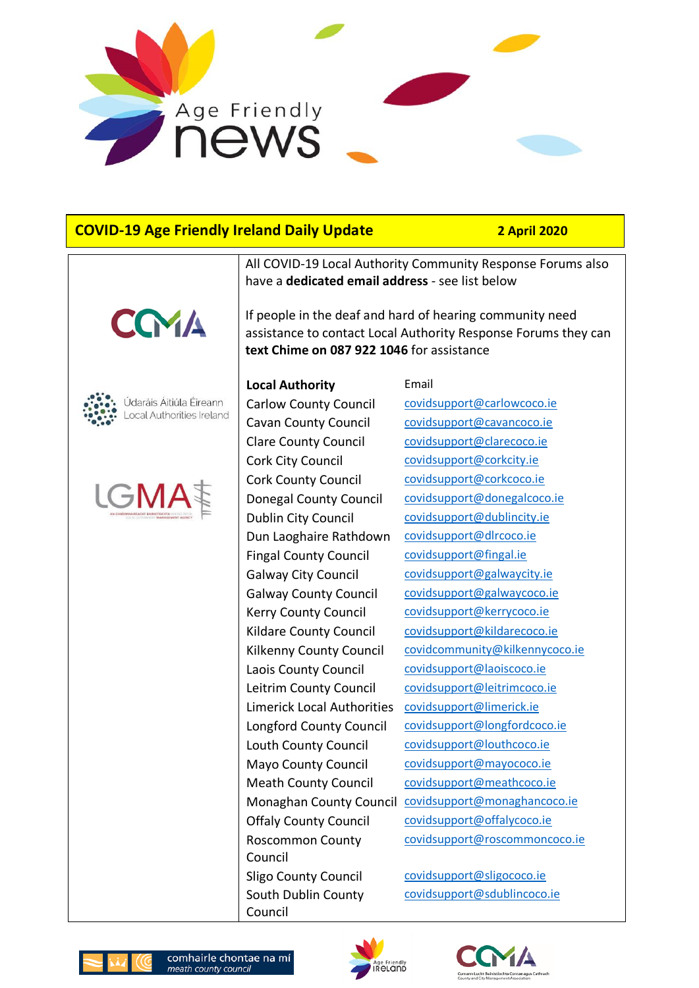

# **COVID-19 Age Friendly Ireland Daily Update 2 April 2020**







All COVID-19 Local Authority Community Response Forums also have a **dedicated email address** - see list below

If people in the deaf and hard of hearing community need assistance to contact Local Authority Response Forums they can **text Chime on 087 922 1046** for assistance

#### **Local Authority** Email

Cork City Council [covidsupport@corkcity.ie](mailto:covidsupport@corkcity.ie) Cork County Council [covidsupport@corkcoco.ie](mailto:covidsupport@corkcoco.ie) Dun Laoghaire Rathdown [covidsupport@dlrcoco.ie](mailto:covidsupport@dlrcoco.ie) Fingal County Council [covidsupport@fingal.ie](mailto:covidsupport@fingal.ie) Laois County Council [covidsupport@laoiscoco.ie](mailto:covidsupport@laoiscoco.ie) Limerick Local Authorities [covidsupport@limerick.ie](mailto:covidsupport@limerick.ie) Roscommon County Council Sligo County Council covidsupport@sligococo.ie South Dublin County Council

Carlow County Council [covidsupport@carlowcoco.ie](mailto:covidsupport@carlowcoco.ie) Cavan County Council [covidsupport@cavancoco.ie](mailto:covidsupport@cavancoco.ie) Clare County Council [covidsupport@clarecoco.ie](mailto:covidsupport@clarecoco.ie) Donegal County Council [covidsupport@donegalcoco.ie](mailto:covidsupport@donegalcoco.ie) Dublin City Council [covidsupport@dublincity.ie](mailto:covidsupport@dublincity.ie) Galway City Council [covidsupport@galwaycity.ie](mailto:covidsupport@galwaycity.ie) Galway County Council [covidsupport@galwaycoco.ie](mailto:covidsupport@galwaycoco.ie) Kerry County Council [covidsupport@kerrycoco.ie](mailto:covidsupport@kerrycoco.ie) Kildare County Council [covidsupport@kildarecoco.ie](mailto:covidsupport@kildarecoco.ie) Kilkenny County Council [covidcommunity@kilkennycoco.ie](mailto:covidcommunity@kilkennycoco.ie) Leitrim County Council [covidsupport@leitrimcoco.ie](mailto:covidsupport@leitrimcoco.ie) Longford County Council [covidsupport@longfordcoco.ie](mailto:covidsupport@longfordcoco.ie) Louth County Council [covidsupport@louthcoco.ie](mailto:covidsupport@louthcoco.ie) Mayo County Council [covidsupport@mayococo.ie](mailto:covidsupport@mayococo.ie) Meath County Council [covidsupport@meathcoco.ie](mailto:covidsupport@meathcoco.ie) Monaghan County Council [covidsupport@monaghancoco.ie](mailto:covidsupport@monaghancoco.ie) Offaly County Council [covidsupport@offalycoco.ie](mailto:covidsupport@offalycoco.ie) [covidsupport@roscommoncoco.ie](mailto:covidsupport@roscommoncoco.ie)

[covidsupport@sdublincoco.ie](mailto:covidsupport@sdublincoco.ie)







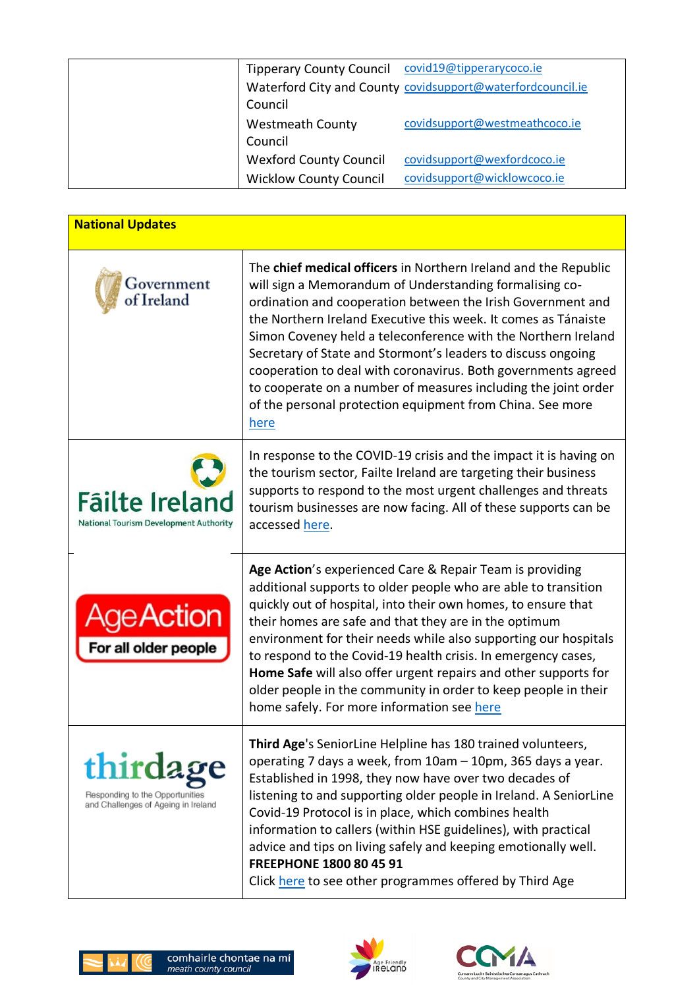|                               | Tipperary County Council covid19@tipperarycoco.ie          |
|-------------------------------|------------------------------------------------------------|
|                               | Waterford City and County covidsupport@waterfordcouncil.ie |
| Council                       |                                                            |
| <b>Westmeath County</b>       | covidsupport@westmeathcoco.ie                              |
| Council                       |                                                            |
| <b>Wexford County Council</b> | covidsupport@wexfordcoco.ie                                |
| <b>Wicklow County Council</b> | covidsupport@wicklowcoco.ie                                |
|                               |                                                            |

| <b>National Updates</b>                                                            |                                                                                                                                                                                                                                                                                                                                                                                                                                                                                                                                                                                                      |  |
|------------------------------------------------------------------------------------|------------------------------------------------------------------------------------------------------------------------------------------------------------------------------------------------------------------------------------------------------------------------------------------------------------------------------------------------------------------------------------------------------------------------------------------------------------------------------------------------------------------------------------------------------------------------------------------------------|--|
| Government<br>f Ireland                                                            | The chief medical officers in Northern Ireland and the Republic<br>will sign a Memorandum of Understanding formalising co-<br>ordination and cooperation between the Irish Government and<br>the Northern Ireland Executive this week. It comes as Tánaiste<br>Simon Coveney held a teleconference with the Northern Ireland<br>Secretary of State and Stormont's leaders to discuss ongoing<br>cooperation to deal with coronavirus. Both governments agreed<br>to cooperate on a number of measures including the joint order<br>of the personal protection equipment from China. See more<br>here |  |
| <b>Fäilte Ireland</b><br>National Tourism Development Authority                    | In response to the COVID-19 crisis and the impact it is having on<br>the tourism sector, Failte Ireland are targeting their business<br>supports to respond to the most urgent challenges and threats<br>tourism businesses are now facing. All of these supports can be<br>accessed here.                                                                                                                                                                                                                                                                                                           |  |
| Age Action<br>For all older people                                                 | Age Action's experienced Care & Repair Team is providing<br>additional supports to older people who are able to transition<br>quickly out of hospital, into their own homes, to ensure that<br>their homes are safe and that they are in the optimum<br>environment for their needs while also supporting our hospitals<br>to respond to the Covid-19 health crisis. In emergency cases,<br>Home Safe will also offer urgent repairs and other supports for<br>older people in the community in order to keep people in their<br>home safely. For more information see here                          |  |
| thirdage<br>Responding to the Opportunities<br>and Challenges of Ageing in Ireland | Third Age's SeniorLine Helpline has 180 trained volunteers,<br>operating 7 days a week, from 10am - 10pm, 365 days a year.<br>Established in 1998, they now have over two decades of<br>listening to and supporting older people in Ireland. A SeniorLine<br>Covid-19 Protocol is in place, which combines health<br>information to callers (within HSE guidelines), with practical<br>advice and tips on living safely and keeping emotionally well.<br>FREEPHONE 1800 80 45 91<br>Click here to see other programmes offered by Third Age                                                          |  |





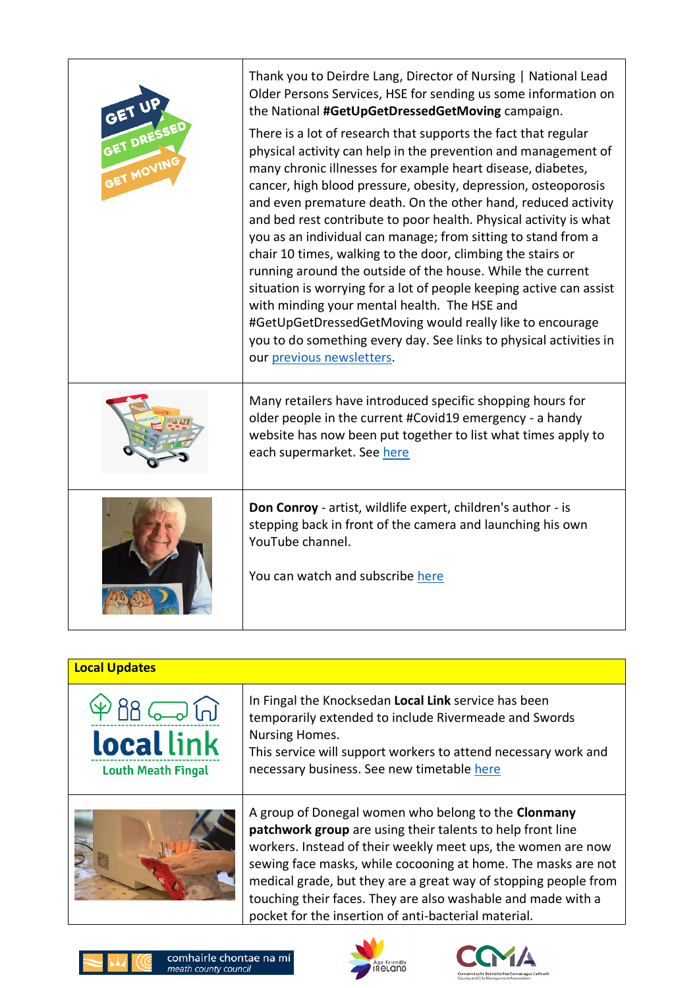| GET UF<br>GET DRESSE<br>GET MOVING | Thank you to Deirdre Lang, Director of Nursing   National Lead<br>Older Persons Services, HSE for sending us some information on<br>the National #GetUpGetDressedGetMoving campaign.<br>There is a lot of research that supports the fact that regular<br>physical activity can help in the prevention and management of<br>many chronic illnesses for example heart disease, diabetes,<br>cancer, high blood pressure, obesity, depression, osteoporosis<br>and even premature death. On the other hand, reduced activity<br>and bed rest contribute to poor health. Physical activity is what<br>you as an individual can manage; from sitting to stand from a<br>chair 10 times, walking to the door, climbing the stairs or<br>running around the outside of the house. While the current<br>situation is worrying for a lot of people keeping active can assist<br>with minding your mental health. The HSE and<br>#GetUpGetDressedGetMoving would really like to encourage<br>you to do something every day. See links to physical activities in<br>our previous newsletters. |
|------------------------------------|-------------------------------------------------------------------------------------------------------------------------------------------------------------------------------------------------------------------------------------------------------------------------------------------------------------------------------------------------------------------------------------------------------------------------------------------------------------------------------------------------------------------------------------------------------------------------------------------------------------------------------------------------------------------------------------------------------------------------------------------------------------------------------------------------------------------------------------------------------------------------------------------------------------------------------------------------------------------------------------------------------------------------------------------------------------------------------------|
|                                    | Many retailers have introduced specific shopping hours for<br>older people in the current #Covid19 emergency - a handy<br>website has now been put together to list what times apply to<br>each supermarket. See here                                                                                                                                                                                                                                                                                                                                                                                                                                                                                                                                                                                                                                                                                                                                                                                                                                                               |
|                                    | Don Conroy - artist, wildlife expert, children's author - is<br>stepping back in front of the camera and launching his own<br>YouTube channel.<br>You can watch and subscribe here                                                                                                                                                                                                                                                                                                                                                                                                                                                                                                                                                                                                                                                                                                                                                                                                                                                                                                  |

| <b>Local Updates</b> |
|----------------------|
|                      |

In Fingal the Knocksedan **Local Link** service has been temporarily extended to include Rivermeade and Swords Nursing Homes. This service will support workers to attend necessary work and



 $P$ BB $\rightleftharpoons$  $\widehat{M}$ 

**local link** 

**Louth Meath Fingal** 

A group of Donegal women who belong to the **Clonmany patchwork group** are using their talents to help front line workers. Instead of their weekly meet ups, the women are now sewing face masks, while cocooning at home. The masks are not medical grade, but they are a great way of stopping people from touching their faces. They are also washable and made with a pocket for the insertion of anti-bacterial material.





necessary business. See new timetable [here](https://agefriendlyireland.ie/wp-content/uploads/2020/04/Knocksedan-new-temporary-timetable-April-2020.pdf)

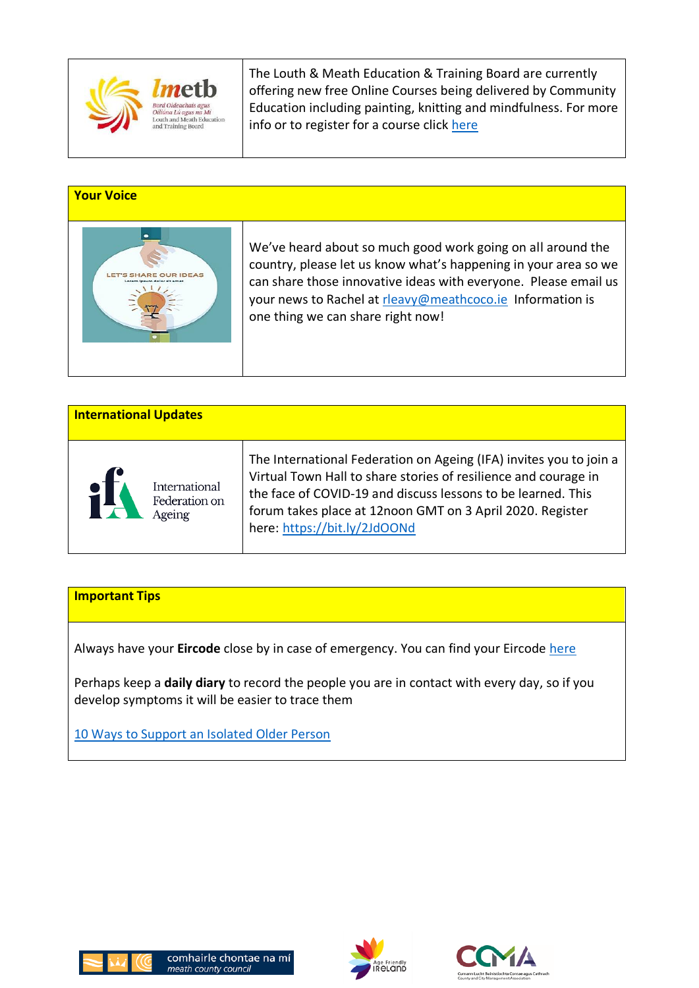

The Louth & Meath Education & Training Board are currently offering new free Online Courses being delivered by Community Education including painting, knitting and mindfulness. For more info or to register for a course click [here](https://agefriendlyireland.ie/wp-content/uploads/2020/04/LMETB-Courses.pdf)

### **Your Voice**



We've heard about so much good work going on all around the country, please let us know what's happening in your area so we can share those innovative ideas with everyone. Please email us your news to Rachel at [rleavy@meathcoco.ie](mailto:rleavy@meathcoco.ie) Information is one thing we can share right now!

| <b>International Updates</b> |                                          |                                                                                                                                                                                                                                                                                                    |  |
|------------------------------|------------------------------------------|----------------------------------------------------------------------------------------------------------------------------------------------------------------------------------------------------------------------------------------------------------------------------------------------------|--|
| 认                            | International<br>Federation on<br>Ageing | The International Federation on Ageing (IFA) invites you to join a<br>Virtual Town Hall to share stories of resilience and courage in<br>the face of COVID-19 and discuss lessons to be learned. This<br>forum takes place at 12noon GMT on 3 April 2020. Register<br>here: https://bit.ly/2JdOONd |  |

## **Important Tips**

Always have your **Eircode** close by in case of emergency. You can find your Eircode [here](https://finder.eircode.ie/#/)

Perhaps keep a **daily diary** to record the people you are in contact with every day, so if you develop symptoms it will be easier to trace them

[10 Ways to Support an Isolated Older Person](https://www.breakingnews.ie/discover/10-ways-to-support-an-isolated-elderly-relative-991176.html)